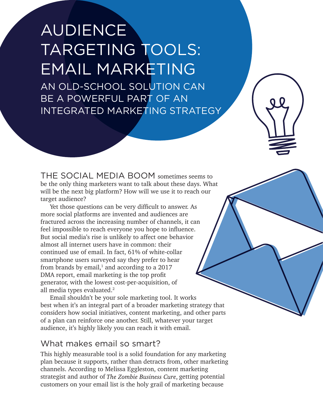# AUDIENCE TARGETING TOOLS: EMAIL MARKETING

AN OLD-SCHOOL SOLUTION CAN BE A POWERFUL PART OF AN INTEGRATED MARKETING STRATEGY

THE SOCIAL MEDIA BOOM sometimes seems to be the only thing marketers want to talk about these days. What will be the next big platform? How will we use it to reach our target audience?

Yet those questions can be very difficult to answer. As more social platforms are invented and audiences are fractured across the increasing number of channels, it can feel impossible to reach everyone you hope to influence. But social media's rise is unlikely to affect one behavior almost all internet users have in common: their continued use of email. In fact, 61% of white-collar smartphone users surveyed say they prefer to hear from brands by  $e$ mail, $^1$  and according to a 2017 DMA report, email marketing is the top profit generator, with the lowest cost-per-acquisition, of all media types evaluated.<sup>2</sup>

Email shouldn't be your sole marketing tool. It works best when it's an integral part of a broader marketing strategy that considers how social initiatives, content marketing, and other parts of a plan can reinforce one another. Still, whatever your target audience, it's highly likely you can reach it with email.

#### What makes email so smart?

This highly measurable tool is a solid foundation for any marketing plan because it supports, rather than detracts from, other marketing channels. According to Melissa Eggleston, content marketing strategist and author of The Zombie Business Cure, getting potential customers on your email list is the holy grail of marketing because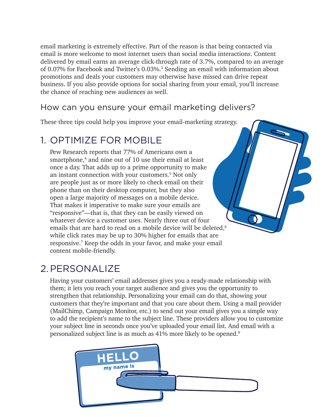email marketing is extremely effective. Part of the reason is that being contacted via email is more welcome to most internet users than social media interactions. Content delivered by email earns an average click-through rate of 3.7%, compared to an average of 0.07% for Facebook and Twitter's 0.03%.<sup>3</sup> Sending an email with information about promotions and deals your customers may otherwise have missed can drive repeat business. If you also provide options for social sharing from your email, you'll increase the chance of reaching new audiences as well.

#### How can you ensure your email marketing delivers?

These three tips could help you improve your email-marketing strategy.

## 1. OPTIMIZE FOR MOBILE

Pew Research reports that 77% of Americans own a smartphone,<sup>4</sup> and nine out of 10 use their email at least once a day. That adds up to a prime opportunity to make an instant connection with your customers.5 Not only are people just as or more likely to check email on their phone than on their desktop computer, but they also open a large majority of messages on a mobile device. That makes it imperative to make sure your emails are "responsive"—that is, that they can be easily viewed on whatever device a customer uses. Nearly three out of four emails that are hard to read on a mobile device will be deleted,<sup>6</sup> while click rates may be up to 30% higher for emails that are responsive.7 Keep the odds in your favor, and make your email content mobile-friendly.

# 2.PERSONALIZE

Having your customers' email addresses gives you a ready-made relationship with them; it lets you reach your target audience and gives you the opportunity to strengthen that relationship. Personalizing your email can do that, showing your customers that they're important and that you care about them. Using a mail provider (MailChimp, Campaign Monitor, etc.) to send out your email gives you a simple way to add the recipient's name to the subject line. These providers allow you to customize your subject line in seconds once you've uploaded your email list. And email with a personalized subject line is as much as 41% more likely to be opened.8